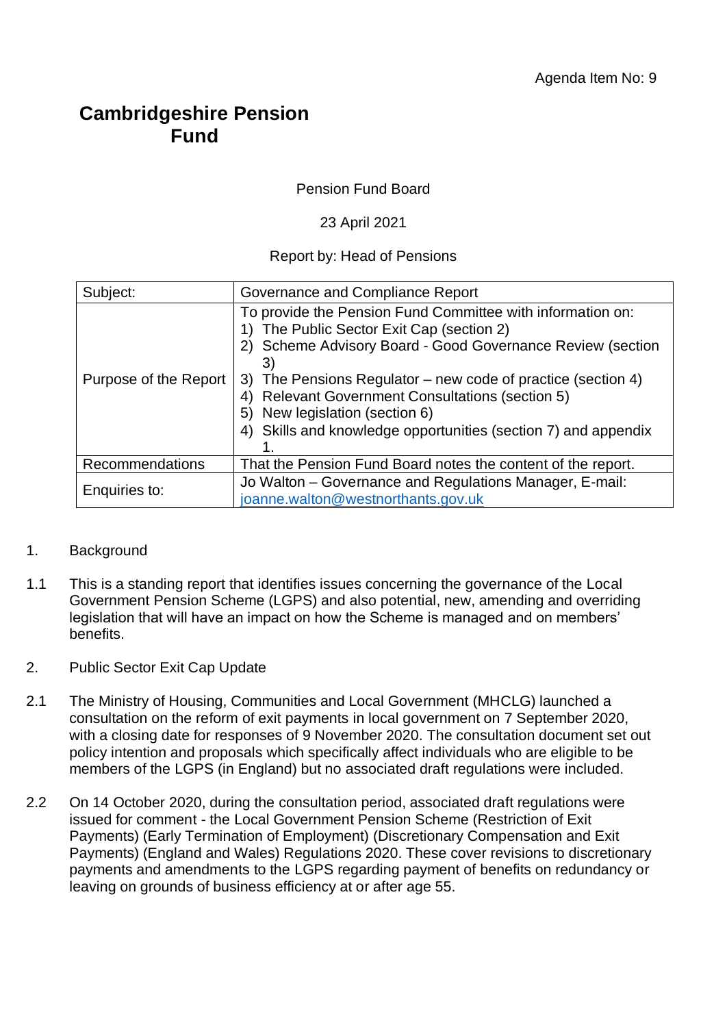## **Cambridgeshire Pension Fund**

Pension Fund Board

23 April 2021

Report by: Head of Pensions

| Subject:              | Governance and Compliance Report                                                                                                                                                                                                                                                                                                                                                                     |  |
|-----------------------|------------------------------------------------------------------------------------------------------------------------------------------------------------------------------------------------------------------------------------------------------------------------------------------------------------------------------------------------------------------------------------------------------|--|
| Purpose of the Report | To provide the Pension Fund Committee with information on:<br>The Public Sector Exit Cap (section 2)<br>2) Scheme Advisory Board - Good Governance Review (section<br>3)<br>The Pensions Regulator – new code of practice (section 4)<br>3)<br><b>Relevant Government Consultations (section 5)</b><br>New legislation (section 6)<br>4) Skills and knowledge opportunities (section 7) and appendix |  |
| Recommendations       | That the Pension Fund Board notes the content of the report.                                                                                                                                                                                                                                                                                                                                         |  |
| Enquiries to:         | Jo Walton – Governance and Regulations Manager, E-mail:<br>joanne.walton@westnorthants.gov.uk                                                                                                                                                                                                                                                                                                        |  |

## 1. Background

- 1.1 This is a standing report that identifies issues concerning the governance of the Local Government Pension Scheme (LGPS) and also potential, new, amending and overriding legislation that will have an impact on how the Scheme is managed and on members' benefits.
- 2. Public Sector Exit Cap Update
- 2.1 The Ministry of Housing, Communities and Local Government (MHCLG) launched a consultation on the reform of exit payments in local government on 7 September 2020, with a closing date for responses of 9 November 2020. The consultation document set out policy intention and proposals which specifically affect individuals who are eligible to be members of the LGPS (in England) but no associated draft regulations were included.
- 2.2 On 14 October 2020, during the consultation period, associated draft regulations were issued for comment - the Local Government Pension Scheme (Restriction of Exit Payments) (Early Termination of Employment) (Discretionary Compensation and Exit Payments) (England and Wales) Regulations 2020. These cover revisions to discretionary payments and amendments to the LGPS regarding payment of benefits on redundancy or leaving on grounds of business efficiency at or after age 55.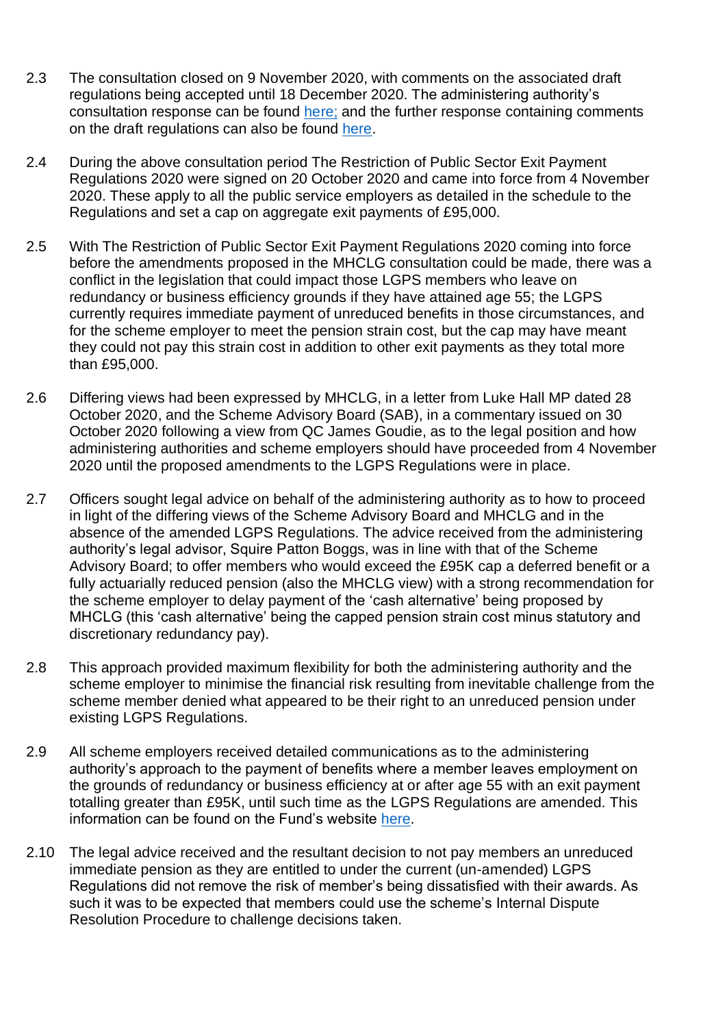- 2.3 The consultation closed on 9 November 2020, with comments on the associated draft regulations being accepted until 18 December 2020. The administering authority's consultation response can be found [here;](http://pensions.northamptonshire.gov.uk/app/uploads/2021/02/CPFExitPaymentReformConsultationResponse.pdf) and the further response containing comments on the draft regulations can also be found [here.](https://pensions.northamptonshire.gov.uk/app/uploads/2021/02/CPFLGPSAmendRegsConsultationResponse.pdf)
- 2.4 During the above consultation period The Restriction of Public Sector Exit Payment Regulations 2020 were signed on 20 October 2020 and came into force from 4 November 2020. These apply to all the public service employers as detailed in the schedule to the Regulations and set a cap on aggregate exit payments of £95,000.
- 2.5 With The Restriction of Public Sector Exit Payment Regulations 2020 coming into force before the amendments proposed in the MHCLG consultation could be made, there was a conflict in the legislation that could impact those LGPS members who leave on redundancy or business efficiency grounds if they have attained age 55; the LGPS currently requires immediate payment of unreduced benefits in those circumstances, and for the scheme employer to meet the pension strain cost, but the cap may have meant they could not pay this strain cost in addition to other exit payments as they total more than £95,000.
- 2.6 Differing views had been expressed by MHCLG, in a letter from Luke Hall MP dated 28 October 2020, and the Scheme Advisory Board (SAB), in a commentary issued on 30 October 2020 following a view from QC James Goudie, as to the legal position and how administering authorities and scheme employers should have proceeded from 4 November 2020 until the proposed amendments to the LGPS Regulations were in place.
- 2.7 Officers sought legal advice on behalf of the administering authority as to how to proceed in light of the differing views of the Scheme Advisory Board and MHCLG and in the absence of the amended LGPS Regulations. The advice received from the administering authority's legal advisor, Squire Patton Boggs, was in line with that of the Scheme Advisory Board; to offer members who would exceed the £95K cap a deferred benefit or a fully actuarially reduced pension (also the MHCLG view) with a strong recommendation for the scheme employer to delay payment of the 'cash alternative' being proposed by MHCLG (this 'cash alternative' being the capped pension strain cost minus statutory and discretionary redundancy pay).
- 2.8 This approach provided maximum flexibility for both the administering authority and the scheme employer to minimise the financial risk resulting from inevitable challenge from the scheme member denied what appeared to be their right to an unreduced pension under existing LGPS Regulations.
- 2.9 All scheme employers received detailed communications as to the administering authority's approach to the payment of benefits where a member leaves employment on the grounds of redundancy or business efficiency at or after age 55 with an exit payment totalling greater than £95K, until such time as the LGPS Regulations are amended. This information can be found on the Fund's website [here.](https://pensions.northamptonshire.gov.uk/public-sector-exit-payments/)
- 2.10 The legal advice received and the resultant decision to not pay members an unreduced immediate pension as they are entitled to under the current (un-amended) LGPS Regulations did not remove the risk of member's being dissatisfied with their awards. As such it was to be expected that members could use the scheme's Internal Dispute Resolution Procedure to challenge decisions taken.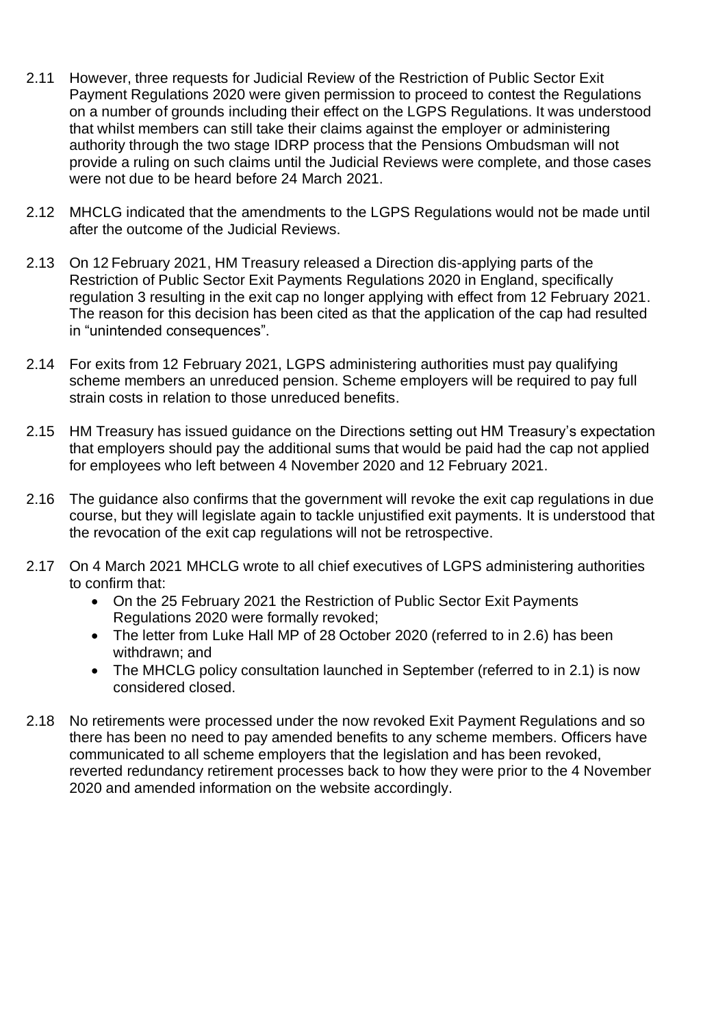- 2.11 However, three requests for Judicial Review of the Restriction of Public Sector Exit Payment Regulations 2020 were given permission to proceed to contest the Regulations on a number of grounds including their effect on the LGPS Regulations. It was understood that whilst members can still take their claims against the employer or administering authority through the two stage IDRP process that the Pensions Ombudsman will not provide a ruling on such claims until the Judicial Reviews were complete, and those cases were not due to be heard before 24 March 2021.
- 2.12 MHCLG indicated that the amendments to the LGPS Regulations would not be made until after the outcome of the Judicial Reviews.
- 2.13 On 12 February 2021, HM Treasury released a Direction dis-applying parts of the Restriction of Public Sector Exit Payments Regulations 2020 in England, specifically regulation 3 resulting in the exit cap no longer applying with effect from 12 February 2021. The reason for this decision has been cited as that the application of the cap had resulted in "unintended consequences".
- 2.14 For exits from 12 February 2021, LGPS administering authorities must pay qualifying scheme members an unreduced pension. Scheme employers will be required to pay full strain costs in relation to those unreduced benefits.
- 2.15 HM Treasury has issued guidance on the Directions setting out HM Treasury's expectation that employers should pay the additional sums that would be paid had the cap not applied for employees who left between 4 November 2020 and 12 February 2021.
- 2.16 The guidance also confirms that the government will revoke the exit cap regulations in due course, but they will legislate again to tackle unjustified exit payments. It is understood that the revocation of the exit cap regulations will not be retrospective.
- 2.17 On 4 March 2021 MHCLG wrote to all chief executives of LGPS administering authorities to confirm that:
	- On the 25 February 2021 the Restriction of Public Sector Exit Payments Regulations 2020 were formally revoked;
	- The letter from Luke Hall MP of 28 October 2020 (referred to in 2.6) has been withdrawn; and
	- The MHCLG policy consultation launched in September (referred to in 2.1) is now considered closed.
- 2.18 No retirements were processed under the now revoked Exit Payment Regulations and so there has been no need to pay amended benefits to any scheme members. Officers have communicated to all scheme employers that the legislation and has been revoked, reverted redundancy retirement processes back to how they were prior to the 4 November 2020 and amended information on the website accordingly.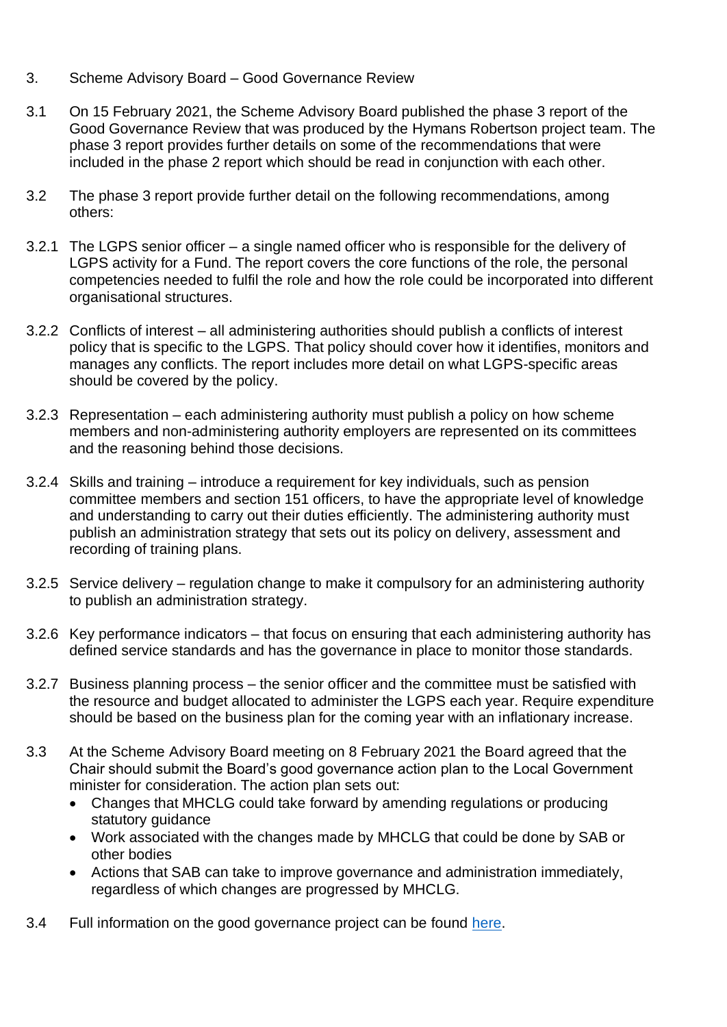- 3. Scheme Advisory Board Good Governance Review
- 3.1 On 15 February 2021, the Scheme Advisory Board published the phase 3 report of the Good Governance Review that was produced by the Hymans Robertson project team. The phase 3 report provides further details on some of the recommendations that were included in the phase 2 report which should be read in conjunction with each other.
- 3.2 The phase 3 report provide further detail on the following recommendations, among others:
- 3.2.1 The LGPS senior officer a single named officer who is responsible for the delivery of LGPS activity for a Fund. The report covers the core functions of the role, the personal competencies needed to fulfil the role and how the role could be incorporated into different organisational structures.
- 3.2.2 Conflicts of interest all administering authorities should publish a conflicts of interest policy that is specific to the LGPS. That policy should cover how it identifies, monitors and manages any conflicts. The report includes more detail on what LGPS-specific areas should be covered by the policy.
- 3.2.3 Representation each administering authority must publish a policy on how scheme members and non-administering authority employers are represented on its committees and the reasoning behind those decisions.
- 3.2.4 Skills and training introduce a requirement for key individuals, such as pension committee members and section 151 officers, to have the appropriate level of knowledge and understanding to carry out their duties efficiently. The administering authority must publish an administration strategy that sets out its policy on delivery, assessment and recording of training plans.
- 3.2.5 Service delivery regulation change to make it compulsory for an administering authority to publish an administration strategy.
- 3.2.6 Key performance indicators that focus on ensuring that each administering authority has defined service standards and has the governance in place to monitor those standards.
- 3.2.7 Business planning process the senior officer and the committee must be satisfied with the resource and budget allocated to administer the LGPS each year. Require expenditure should be based on the business plan for the coming year with an inflationary increase.
- 3.3 At the Scheme Advisory Board meeting on 8 February 2021 the Board agreed that the Chair should submit the Board's good governance action plan to the Local Government minister for consideration. The action plan sets out:
	- Changes that MHCLG could take forward by amending regulations or producing statutory guidance
	- Work associated with the changes made by MHCLG that could be done by SAB or other bodies
	- Actions that SAB can take to improve governance and administration immediately, regardless of which changes are progressed by MHCLG.
- 3.4 Full information on the good governance project can be found [here.](https://lgpsboard.org/index.php/projects/good-governance)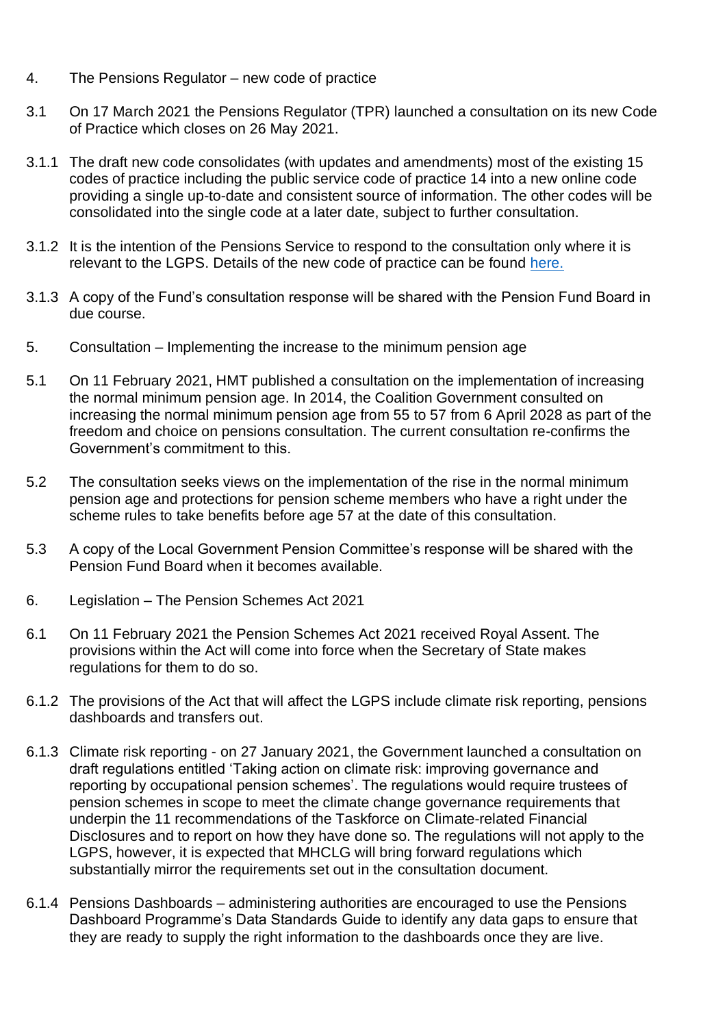- 4. The Pensions Regulator new code of practice
- 3.1 On 17 March 2021 the Pensions Regulator (TPR) launched a consultation on its new Code of Practice which closes on 26 May 2021.
- 3.1.1 The draft new code consolidates (with updates and amendments) most of the existing 15 codes of practice including the public service code of practice 14 into a new online code providing a single up-to-date and consistent source of information. The other codes will be consolidated into the single code at a later date, subject to further consultation.
- 3.1.2 It is the intention of the Pensions Service to respond to the consultation only where it is relevant to the LGPS. Details of the new code of practice can be found [here.](https://www.thepensionsregulator.gov.uk/en/media-hub/press-releases/2021-press-releases/pensions-schemes-to-benefit-from-single-tpr-code-of-practice)
- 3.1.3 A copy of the Fund's consultation response will be shared with the Pension Fund Board in due course.
- 5. Consultation Implementing the increase to the minimum pension age
- 5.1 On 11 February 2021, HMT published a consultation on the implementation of increasing the normal minimum pension age. In 2014, the Coalition Government consulted on increasing the normal minimum pension age from 55 to 57 from 6 April 2028 as part of the freedom and choice on pensions consultation. The current consultation re-confirms the Government's commitment to this.
- 5.2 The consultation seeks views on the implementation of the rise in the normal minimum pension age and protections for pension scheme members who have a right under the scheme rules to take benefits before age 57 at the date of this consultation.
- 5.3 A copy of the Local Government Pension Committee's response will be shared with the Pension Fund Board when it becomes available.
- 6. Legislation The Pension Schemes Act 2021
- 6.1 On 11 February 2021 the Pension Schemes Act 2021 received Royal Assent. The provisions within the Act will come into force when the Secretary of State makes regulations for them to do so.
- 6.1.2 The provisions of the Act that will affect the LGPS include climate risk reporting, pensions dashboards and transfers out.
- 6.1.3 Climate risk reporting on 27 January 2021, the Government launched a consultation on draft regulations entitled 'Taking action on climate risk: improving governance and reporting by occupational pension schemes'. The regulations would require trustees of pension schemes in scope to meet the climate change governance requirements that underpin the 11 recommendations of the Taskforce on Climate-related Financial Disclosures and to report on how they have done so. The regulations will not apply to the LGPS, however, it is expected that MHCLG will bring forward regulations which substantially mirror the requirements set out in the consultation document.
- 6.1.4 Pensions Dashboards administering authorities are encouraged to use the Pensions Dashboard Programme's Data Standards Guide to identify any data gaps to ensure that they are ready to supply the right information to the dashboards once they are live.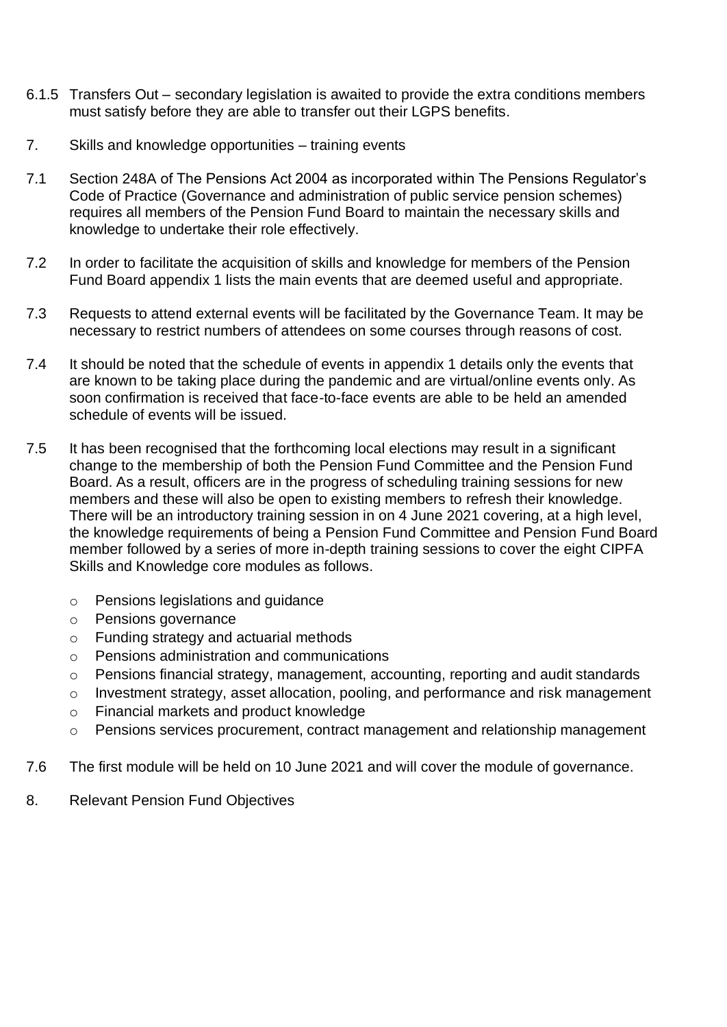- 6.1.5 Transfers Out secondary legislation is awaited to provide the extra conditions members must satisfy before they are able to transfer out their LGPS benefits.
- 7. Skills and knowledge opportunities training events
- 7.1 Section 248A of The Pensions Act 2004 as incorporated within The Pensions Regulator's Code of Practice (Governance and administration of public service pension schemes) requires all members of the Pension Fund Board to maintain the necessary skills and knowledge to undertake their role effectively.
- 7.2 In order to facilitate the acquisition of skills and knowledge for members of the Pension Fund Board appendix 1 lists the main events that are deemed useful and appropriate.
- 7.3 Requests to attend external events will be facilitated by the Governance Team. It may be necessary to restrict numbers of attendees on some courses through reasons of cost.
- 7.4 It should be noted that the schedule of events in appendix 1 details only the events that are known to be taking place during the pandemic and are virtual/online events only. As soon confirmation is received that face-to-face events are able to be held an amended schedule of events will be issued.
- 7.5 It has been recognised that the forthcoming local elections may result in a significant change to the membership of both the Pension Fund Committee and the Pension Fund Board. As a result, officers are in the progress of scheduling training sessions for new members and these will also be open to existing members to refresh their knowledge. There will be an introductory training session in on 4 June 2021 covering, at a high level, the knowledge requirements of being a Pension Fund Committee and Pension Fund Board member followed by a series of more in-depth training sessions to cover the eight CIPFA Skills and Knowledge core modules as follows.
	- o Pensions legislations and guidance
	- o Pensions governance
	- o Funding strategy and actuarial methods
	- o Pensions administration and communications
	- o Pensions financial strategy, management, accounting, reporting and audit standards
	- o Investment strategy, asset allocation, pooling, and performance and risk management
	- o Financial markets and product knowledge
	- o Pensions services procurement, contract management and relationship management
- 7.6 The first module will be held on 10 June 2021 and will cover the module of governance.
- 8. Relevant Pension Fund Objectives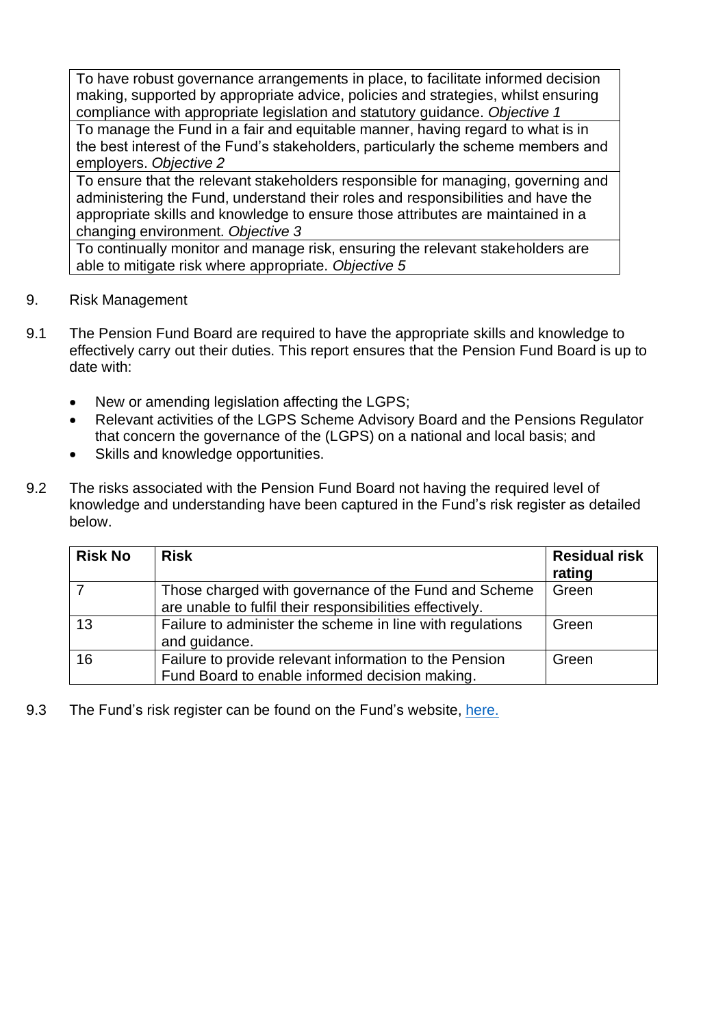To have robust governance arrangements in place, to facilitate informed decision making, supported by appropriate advice, policies and strategies, whilst ensuring compliance with appropriate legislation and statutory guidance. *Objective 1*

To manage the Fund in a fair and equitable manner, having regard to what is in the best interest of the Fund's stakeholders, particularly the scheme members and employers. *Objective 2*

To ensure that the relevant stakeholders responsible for managing, governing and administering the Fund, understand their roles and responsibilities and have the appropriate skills and knowledge to ensure those attributes are maintained in a changing environment. *Objective 3*

To continually monitor and manage risk, ensuring the relevant stakeholders are able to mitigate risk where appropriate. *Objective 5*

- 9. Risk Management
- 9.1 The Pension Fund Board are required to have the appropriate skills and knowledge to effectively carry out their duties. This report ensures that the Pension Fund Board is up to date with:
	- New or amending legislation affecting the LGPS;
	- Relevant activities of the LGPS Scheme Advisory Board and the Pensions Regulator that concern the governance of the (LGPS) on a national and local basis; and
	- Skills and knowledge opportunities.
- 9.2 The risks associated with the Pension Fund Board not having the required level of knowledge and understanding have been captured in the Fund's risk register as detailed below.

| <b>Risk No</b> | <b>Risk</b>                                                                                                      | <b>Residual risk</b><br>rating |
|----------------|------------------------------------------------------------------------------------------------------------------|--------------------------------|
|                | Those charged with governance of the Fund and Scheme<br>are unable to fulfil their responsibilities effectively. | Green                          |
| 13             | Failure to administer the scheme in line with regulations<br>and guidance.                                       | Green                          |
| 16             | Failure to provide relevant information to the Pension<br>Fund Board to enable informed decision making.         | Green                          |

9.3 The Fund's risk register can be found on the Fund's website, [here.](https://pensions.cambridgeshire.gov.uk/app/uploads/2019/10/RiskRegisterCPF.pdf)